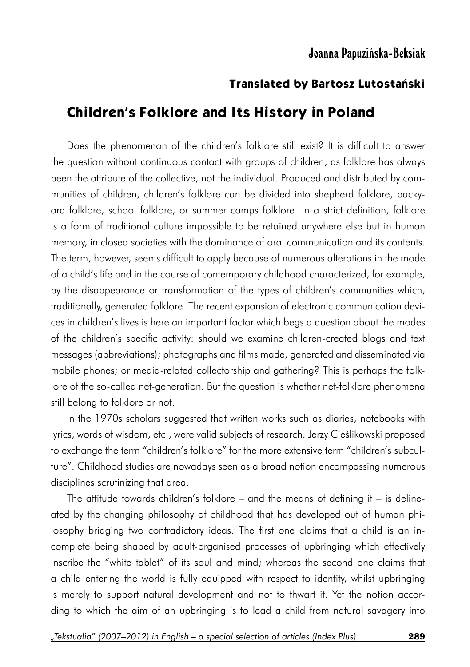## **Translated by Bartosz Lutostański**

## **Children's Folklore and Its History in Poland**

Does the phenomenon of the children's folklore still exist? It is difficult to answer the question without continuous contact with groups of children, as folklore has always been the attribute of the collective, not the individual. Produced and distributed by communities of children, children's folklore can be divided into shepherd folklore, backyard folklore, school folklore, or summer camps folklore. In a strict definition, folklore is a form of traditional culture impossible to be retained anywhere else but in human memory, in closed societies with the dominance of oral communication and its contents. The term, however, seems difficult to apply because of numerous alterations in the mode of a child's life and in the course of contemporary childhood characterized, for example, by the disappearance or transformation of the types of children's communities which, traditionally, generated folklore. The recent expansion of electronic communication devices in children's lives is here an important factor which begs a question about the modes of the children's specific activity: should we examine children-created blogs and text messages (abbreviations); photographs and films made, generated and disseminated via mobile phones; or media-related collectorship and gathering? This is perhaps the folklore of the so-called net-generation. But the question is whether net-folklore phenomena still belong to folklore or not.

In the 1970s scholars suggested that written works such as diaries, notebooks with lyrics, words of wisdom, etc., were valid subjects of research. Jerzy Cieślikowski proposed to exchange the term "children's folklore" for the more extensive term "children's subculture". Childhood studies are nowadays seen as a broad notion encompassing numerous disciplines scrutinizing that area.

The attitude towards children's folklore – and the means of defining it – is delineated by the changing philosophy of childhood that has developed out of human philosophy bridging two contradictory ideas. The first one claims that a child is an incomplete being shaped by adult-organised processes of upbringing which effectively inscribe the "white tablet" of its soul and mind; whereas the second one claims that a child entering the world is fully equipped with respect to identity, whilst upbringing is merely to support natural development and not to thwart it. Yet the notion according to which the aim of an upbringing is to lead a child from natural savagery into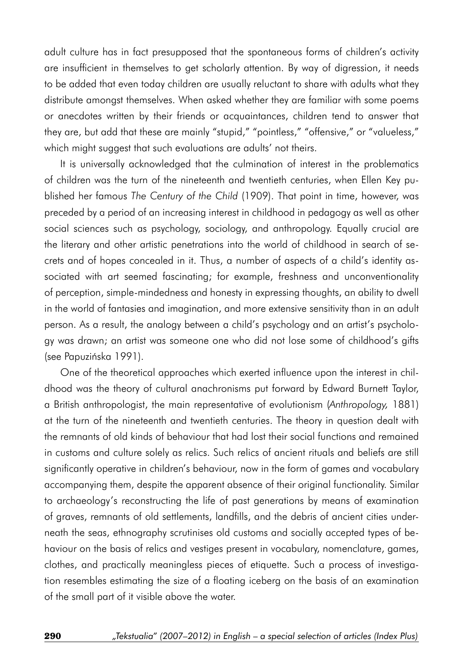adult culture has in fact presupposed that the spontaneous forms of children's activity are insufficient in themselves to get scholarly attention. By way of digression, it needs to be added that even today children are usually reluctant to share with adults what they distribute amongst themselves. When asked whether they are familiar with some poems or anecdotes written by their friends or acquaintances, children tend to answer that they are, but add that these are mainly "stupid," "pointless," "offensive," or "valueless," which might suggest that such evaluations are adults' not theirs.

It is universally acknowledged that the culmination of interest in the problematics of children was the turn of the nineteenth and twentieth centuries, when Ellen Key published her famous *The Century of the Child* (1909). That point in time, however, was preceded by a period of an increasing interest in childhood in pedagogy as well as other social sciences such as psychology, sociology, and anthropology. Equally crucial are the literary and other artistic penetrations into the world of childhood in search of secrets and of hopes concealed in it. Thus, a number of aspects of a child's identity associated with art seemed fascinating; for example, freshness and unconventionality of perception, simple-mindedness and honesty in expressing thoughts, an ability to dwell in the world of fantasies and imagination, and more extensive sensitivity than in an adult person. As a result, the analogy between a child's psychology and an artist's psychology was drawn; an artist was someone one who did not lose some of childhood's gifts (see Papuzińska 1991).

One of the theoretical approaches which exerted influence upon the interest in childhood was the theory of cultural anachronisms put forward by Edward Burnett Taylor, a British anthropologist, the main representative of evolutionism (*Anthropology,* 1881) at the turn of the nineteenth and twentieth centuries. The theory in question dealt with the remnants of old kinds of behaviour that had lost their social functions and remained in customs and culture solely as relics. Such relics of ancient rituals and beliefs are still significantly operative in children's behaviour, now in the form of games and vocabulary accompanying them, despite the apparent absence of their original functionality. Similar to archaeology's reconstructing the life of past generations by means of examination of graves, remnants of old settlements, landfi lls, and the debris of ancient cities underneath the seas, ethnography scrutinises old customs and socially accepted types of behaviour on the basis of relics and vestiges present in vocabulary, nomenclature, games, clothes, and practically meaningless pieces of etiquette. Such a process of investigation resembles estimating the size of a floating iceberg on the basis of an examination of the small part of it visible above the water.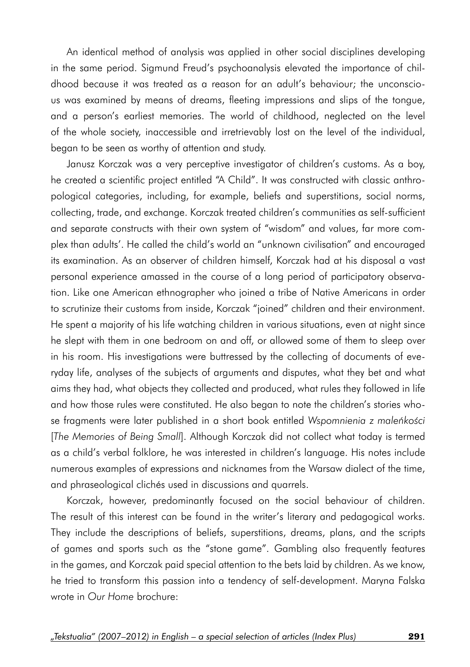An identical method of analysis was applied in other social disciplines developing in the same period. Sigmund Freud's psychoanalysis elevated the importance of childhood because it was treated as a reason for an adult's behaviour; the unconscious was examined by means of dreams, fleeting impressions and slips of the tongue, and a person's earliest memories. The world of childhood, neglected on the level of the whole society, inaccessible and irretrievably lost on the level of the individual, began to be seen as worthy of attention and study.

Janusz Korczak was a very perceptive investigator of children's customs. As a boy, he created a scientific project entitled "A Child". It was constructed with classic anthropological categories, including, for example, beliefs and superstitions, social norms, collecting, trade, and exchange. Korczak treated children's communities as self-sufficient and separate constructs with their own system of "wisdom" and values, far more complex than adults'. He called the child's world an "unknown civilisation" and encouraged its examination. As an observer of children himself, Korczak had at his disposal a vast personal experience amassed in the course of a long period of participatory observation. Like one American ethnographer who joined a tribe of Native Americans in order to scrutinize their customs from inside, Korczak "joined" children and their environment. He spent a majority of his life watching children in various situations, even at night since he slept with them in one bedroom on and off, or allowed some of them to sleep over in his room. His investigations were buttressed by the collecting of documents of everyday life, analyses of the subjects of arguments and disputes, what they bet and what aims they had, what objects they collected and produced, what rules they followed in life and how those rules were constituted. He also began to note the children's stories whose fragments were later published in a short book entitled *Wspomnienia z maleńkości* [*The Memories of Being Small*]. Although Korczak did not collect what today is termed as a child's verbal folklore, he was interested in children's language. His notes include numerous examples of expressions and nicknames from the Warsaw dialect of the time, and phraseological clichés used in discussions and quarrels.

Korczak, however, predominantly focused on the social behaviour of children. The result of this interest can be found in the writer's literary and pedagogical works. They include the descriptions of beliefs, superstitions, dreams, plans, and the scripts of games and sports such as the "stone game". Gambling also frequently features in the games, and Korczak paid special attention to the bets laid by children. As we know, he tried to transform this passion into a tendency of self-development. Maryna Falska wrote in *Our Home* brochure: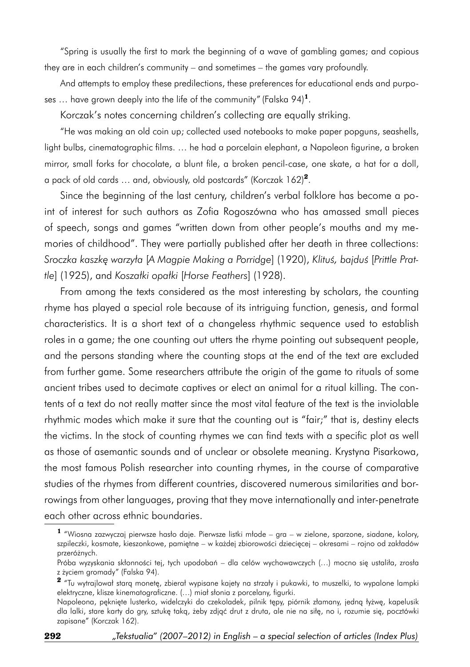"Spring is usually the first to mark the beginning of a wave of gambling games; and copious they are in each children's community – and sometimes – the games vary profoundly.

And attempts to employ these predilections, these preferences for educational ends and purposes  $\ldots$  have grown deeply into the life of the community" (Falska 94)<sup>1</sup>.

Korczak's notes concerning children's collecting are equally striking.

"He was making an old coin up; collected used notebooks to make paper popguns, seashells, light bulbs, cinematographic films. ... he had a porcelain elephant, a Napoleon figurine, a broken mirror, small forks for chocolate, a blunt file, a broken pencil-case, one skate, a hat for a doll, a pack of old cards  $\ldots$  and, obviously, old postcards" (Korczak 162)<sup>2</sup>.

Since the beginning of the last century, children's verbal folklore has become a point of interest for such authors as Zofia Rogoszówna who has amassed small pieces of speech, songs and games "written down from other people's mouths and my memories of childhood". They were partially published after her death in three collections: *Sroczka kaszkę warzyła* [*A Magpie Making a Porridge*] (1920), *Klituś, bajduś* [*Prittle Prattle*] (1925), and *Koszałki opałki* [*Horse Feathers*] (1928).

From among the texts considered as the most interesting by scholars, the counting rhyme has played a special role because of its intriguing function, genesis, and formal characteristics. It is a short text of a changeless rhythmic sequence used to establish roles in a game; the one counting out utters the rhyme pointing out subsequent people, and the persons standing where the counting stops at the end of the text are excluded from further game. Some researchers attribute the origin of the game to rituals of some ancient tribes used to decimate captives or elect an animal for a ritual killing. The contents of a text do not really matter since the most vital feature of the text is the inviolable rhythmic modes which make it sure that the counting out is "fair;" that is, destiny elects the victims. In the stock of counting rhymes we can find texts with a specific plot as well as those of asemantic sounds and of unclear or obsolete meaning. Krystyna Pisarkowa, the most famous Polish researcher into counting rhymes, in the course of comparative studies of the rhymes from different countries, discovered numerous similarities and borrowings from other languages, proving that they move internationally and inter-penetrate each other across ethnic boundaries.

<sup>1</sup> "Wiosna zazwyczaj pierwsze hasło daje. Pierwsze listki młode – gra – w zielone, sparzone, siadane, kolory, szpileczki, kosmate, kieszonkowe, pamiętne – w każdej zbiorowości dzieciecej – okresami – rojno od zakładów przeróżnych.

Próba wyzyskania skłonności tej, tych upodobań – dla celów wychowawczych (…) mocno się ustaliła, zrosła z życiem gromady" (Falska 94).

<sup>&</sup>lt;sup>2</sup> "Tu wytrajlował starą monetę, zbierał wypisane kajety na strzały i pukawki, to muszelki, to wypalone lampki elektryczne, klisze kinematograficzne. (...) miał słonia z porcelany, figurki.

Napoleona, pęknięte lusterko, widelczyki do czekoladek, pilnik tępy, piórnik złamany, jedną łyżwę, kapelusik dla lalki, stare karty do gry, sztukę taką, żeby zdjąć drut z druta, ale nie na siłę, no i, rozumie się, pocztówki zapisane" (Korczak 162).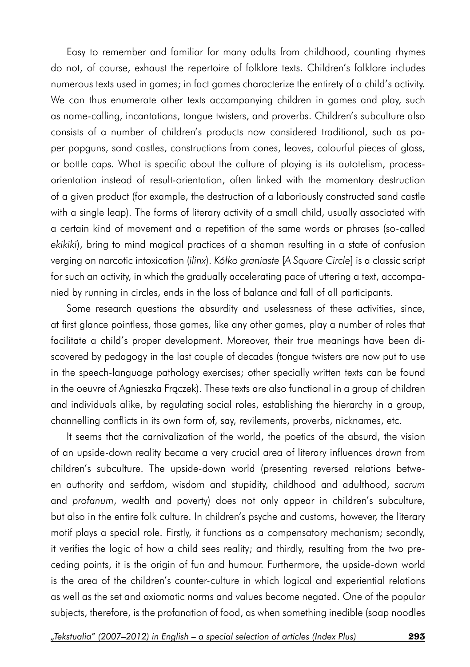Easy to remember and familiar for many adults from childhood, counting rhymes do not, of course, exhaust the repertoire of folklore texts. Children's folklore includes numerous texts used in games; in fact games characterize the entirety of a child's activity. We can thus enumerate other texts accompanying children in games and play, such as name-calling, incantations, tongue twisters, and proverbs. Children's subculture also consists of a number of children's products now considered traditional, such as paper popguns, sand castles, constructions from cones, leaves, colourful pieces of glass, or bottle caps. What is specific about the culture of playing is its autotelism, processorientation instead of result-orientation, often linked with the momentary destruction of a given product (for example, the destruction of a laboriously constructed sand castle with a single leap). The forms of literary activity of a small child, usually associated with a certain kind of movement and a repetition of the same words or phrases (so-called *ekikiki*), bring to mind magical practices of a shaman resulting in a state of confusion verging on narcotic intoxication (*ilinx*). *Kółko graniaste* [*A Square Circle*] is a classic script for such an activity, in which the gradually accelerating pace of uttering a text, accompanied by running in circles, ends in the loss of balance and fall of all participants.

Some research questions the absurdity and uselessness of these activities, since, at first glance pointless, those games, like any other games, play a number of roles that facilitate a child's proper development. Moreover, their true meanings have been discovered by pedagogy in the last couple of decades (tongue twisters are now put to use in the speech-language pathology exercises; other specially written texts can be found in the oeuvre of Agnieszka Frączek). These texts are also functional in a group of children and individuals alike, by regulating social roles, establishing the hierarchy in a group, channelling conflicts in its own form of, say, revilements, proverbs, nicknames, etc.

It seems that the carnivalization of the world, the poetics of the absurd, the vision of an upside-down reality became a very crucial area of literary influences drawn from children's subculture. The upside-down world (presenting reversed relations between authority and serfdom, wisdom and stupidity, childhood and adulthood, *sacrum* and *profanum*, wealth and poverty) does not only appear in children's subculture, but also in the entire folk culture. In children's psyche and customs, however, the literary motif plays a special role. Firstly, it functions as a compensatory mechanism; secondly, it verifies the logic of how a child sees reality; and thirdly, resulting from the two preceding points, it is the origin of fun and humour. Furthermore, the upside-down world is the area of the children's counter-culture in which logical and experiential relations as well as the set and axiomatic norms and values become negated. One of the popular subjects, therefore, is the profanation of food, as when something inedible (soap noodles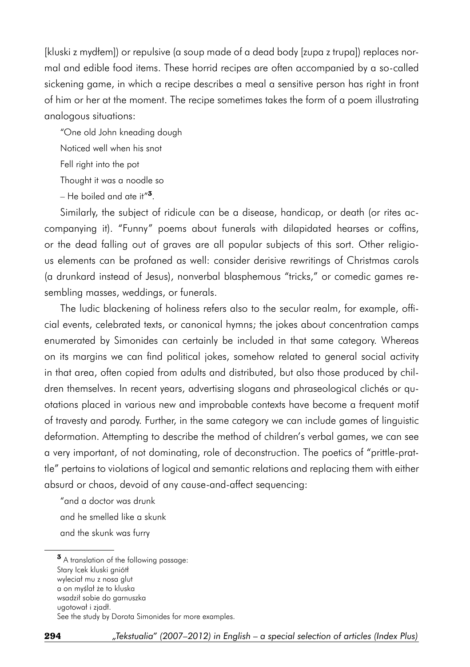[kluski z mydłem]) or repulsive (a soup made of a dead body [zupa z trupa]) replaces normal and edible food items. These horrid recipes are often accompanied by a so-called sickening game, in which a recipe describes a meal a sensitive person has right in front of him or her at the moment. The recipe sometimes takes the form of a poem illustrating analogous situations:

"One old John kneading dough Noticed well when his snot

Fell right into the pot

Thought it was a noodle so

 $-$  He boiled and ate it" $3$ .

Similarly, the subject of ridicule can be a disease, handicap, or death (or rites accompanying it). "Funny" poems about funerals with dilapidated hearses or coffins, or the dead falling out of graves are all popular subjects of this sort. Other religious elements can be profaned as well: consider derisive rewritings of Christmas carols (a drunkard instead of Jesus), nonverbal blasphemous "tricks," or comedic games resembling masses, weddings, or funerals.

The ludic blackening of holiness refers also to the secular realm, for example, official events, celebrated texts, or canonical hymns; the jokes about concentration camps enumerated by Simonides can certainly be included in that same category. Whereas on its margins we can find political jokes, somehow related to general social activity in that area, often copied from adults and distributed, but also those produced by children themselves. In recent years, advertising slogans and phraseological clichés or quotations placed in various new and improbable contexts have become a frequent motif of travesty and parody. Further, in the same category we can include games of linguistic deformation. Attempting to describe the method of children's verbal games, we can see a very important, of not dominating, role of deconstruction. The poetics of "prittle-prattle" pertains to violations of logical and semantic relations and replacing them with either absurd or chaos, devoid of any cause-and-affect sequencing:

"and a doctor was drunk and he smelled like a skunk and the skunk was furry

<sup>3</sup> A translation of the following passage: Stary Icek kluski gniótł wyleciał mu z nosa glut a on myślał że to kluska wsadził sobie do garnuszka ugotował i zjadł. See the study by Dorota Simonides for more examples.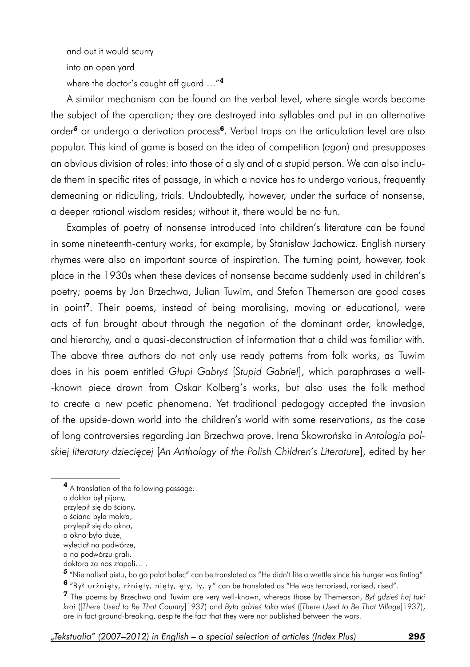and out it would scurry

into an open yard

where the doctor's caught off guard ..."<sup>4</sup>

A similar mechanism can be found on the verbal level, where single words become the subject of the operation; they are destroyed into syllables and put in an alternative order<sup>5</sup> or undergo a derivation process<sup>6</sup>. Verbal traps on the articulation level are also popular. This kind of game is based on the idea of competition (*agon*) and presupposes an obvious division of roles: into those of a sly and of a stupid person. We can also include them in specific rites of passage, in which a novice has to undergo various, frequently demeaning or ridiculing, trials. Undoubtedly, however, under the surface of nonsense, a deeper rational wisdom resides; without it, there would be no fun.

Examples of poetry of nonsense introduced into children's literature can be found in some nineteenth-century works, for example, by Stanisław Jachowicz. English nursery rhymes were also an important source of inspiration. The turning point, however, took place in the 1930s when these devices of nonsense became suddenly used in children's poetry; poems by Jan Brzechwa, Julian Tuwim, and Stefan Themerson are good cases in point<sup>7</sup>. Their poems, instead of being moralising, moving or educational, were acts of fun brought about through the negation of the dominant order, knowledge, and hierarchy, and a quasi-deconstruction of information that a child was familiar with. The above three authors do not only use ready patterns from folk works, as Tuwim does in his poem entitled *Głupi Gabryś* [*Stupid Gabriel*], which paraphrases a well- -known piece drawn from Oskar Kolberg's works, but also uses the folk method to create a new poetic phenomena. Yet traditional pedagogy accepted the invasion of the upside-down world into the children's world with some reservations, as the case of long controversies regarding Jan Brzechwa prove. Irena Skowrońska in *Antologia polskiej literatury dziecięcej* [*An Anthology of the Polish Children's Literature*], edited by her

wyleciał na podwórze,

doktora za nos złapali… .

<sup>4</sup> A translation of the following passage:

a doktor był pijany,

przylepił się do ściany, a ściana była mokra,

przylepił się do okna,

a okno było duże,

a na podwórzu grali,

 $5$  "Nie nalisał pistu, bo go palał bolec" can be translated as "He didn't lite a wrettle since his hurger was finting".

<sup>6 &</sup>quot;Był urżnięty, rżnięty, nięty, ęty, ty, y" can be translated as "He was terrorised, rorised, rised".

<sup>7</sup> The poems by Brzechwa and Tuwim are very well-known, whereas those by Themerson, *Był gdzieś haj taki kraj* ([*There Used to Be That Country*]1937) and *Była gdzieś taka wieś* ([*There Used to Be That Village*]1937), are in fact around-breaking, despite the fact that they were not published between the wars.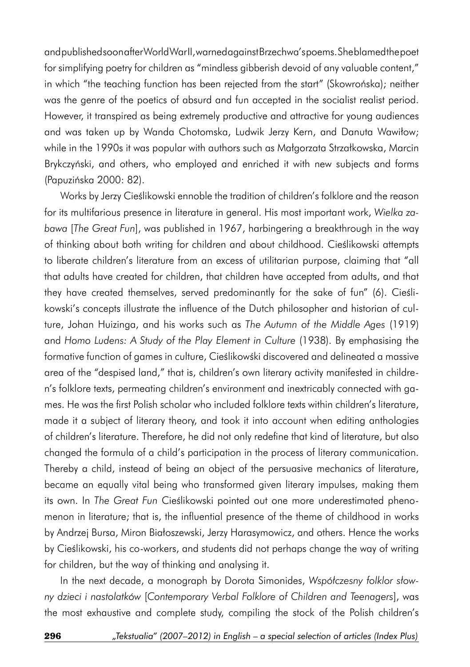and published soon after World War II, warned against Brzechwa's poems. She blamed the poet for simplifying poetry for children as "mindless gibberish devoid of any valuable content," in which "the teaching function has been rejected from the start" (Skowrońska); neither was the genre of the poetics of absurd and fun accepted in the socialist realist period. However, it transpired as being extremely productive and attractive for young audiences and was taken up by Wanda Chotomska, Ludwik Jerzy Kern, and Danuta Wawiłow; while in the 1990s it was popular with authors such as Małgorzata Strzałkowska, Marcin Brykczyński, and others, who employed and enriched it with new subjects and forms (Papuzińska 2000: 82).

Works by Jerzy Cieślikowski ennoble the tradition of children's folklore and the reason for its multifarious presence in literature in general. His most important work, *Wielka zabawa* [*The Great Fun*], was published in 1967, harbingering a breakthrough in the way of thinking about both writing for children and about childhood. Cieślikowski attempts to liberate children's literature from an excess of utilitarian purpose, claiming that "all that adults have created for children, that children have accepted from adults, and that they have created themselves, served predominantly for the sake of fun" (6). Cieślikowski's concepts illustrate the influence of the Dutch philosopher and historian of culture, Johan Huizinga, and his works such as *The Autumn of the Middle Ages* (1919) and *Homo Ludens: A Study of the Play Element in Culture* (1938). By emphasising the formative function of games in culture, Cieślikowśki discovered and delineated a massive area of the "despised land," that is, children's own literary activity manifested in children's folklore texts, permeating children's environment and inextricably connected with games. He was the first Polish scholar who included folklore texts within children's literature, made it a subject of literary theory, and took it into account when editing anthologies of children's literature. Therefore, he did not only redefine that kind of literature, but also changed the formula of a child's participation in the process of literary communication. Thereby a child, instead of being an object of the persuasive mechanics of literature, became an equally vital being who transformed given literary impulses, making them its own. In *The Great Fun* Cieślikowski pointed out one more underestimated phenomenon in literature; that is, the influential presence of the theme of childhood in works by Andrzej Bursa, Miron Białoszewski, Jerzy Harasymowicz, and others. Hence the works by Cieślikowski, his co-workers, and students did not perhaps change the way of writing for children, but the way of thinking and analysing it.

In the next decade, a monograph by Dorota Simonides, *Współczesny folklor słowny dzieci i nastolatków* [*Contemporary Verbal Folklore of Children and Teenagers*], was the most exhaustive and complete study, compiling the stock of the Polish children's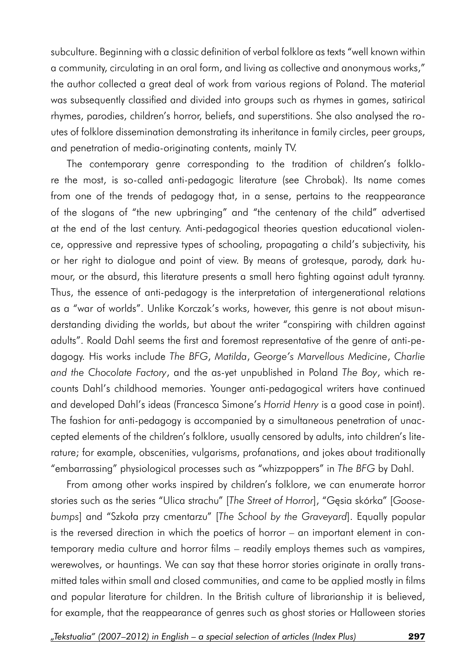subculture. Beginning with a classic definition of verbal folklore as texts "well known within a community, circulating in an oral form, and living as collective and anonymous works," the author collected a great deal of work from various regions of Poland. The material was subsequently classified and divided into groups such as rhymes in games, satirical rhymes, parodies, children's horror, beliefs, and superstitions. She also analysed the routes of folklore dissemination demonstrating its inheritance in family circles, peer groups, and penetration of media-originating contents, mainly TV.

The contemporary genre corresponding to the tradition of children's folklore the most, is so-called anti-pedagogic literature (see Chrobak). Its name comes from one of the trends of pedagogy that, in a sense, pertains to the reappearance of the slogans of "the new upbringing" and "the centenary of the child" advertised at the end of the last century. Anti-pedagogical theories question educational violence, oppressive and repressive types of schooling, propagating a child's subjectivity, his or her right to dialogue and point of view. By means of grotesque, parody, dark humour, or the absurd, this literature presents a small hero fighting against adult tyranny. Thus, the essence of anti-pedagogy is the interpretation of intergenerational relations as a "war of worlds". Unlike Korczak's works, however, this genre is not about misunderstanding dividing the worlds, but about the writer "conspiring with children against adults". Roald Dahl seems the first and foremost representative of the genre of anti-pedagogy. His works include *The BFG*, *Matilda*, *George's Marvellous Medicine*, *Charlie and the Chocolate Factory*, and the as-yet unpublished in Poland *The Boy*, which recounts Dahl's childhood memories. Younger anti-pedagogical writers have continued and developed Dahl's ideas (Francesca Simone's *Horrid Henry* is a good case in point). The fashion for anti-pedagogy is accompanied by a simultaneous penetration of unaccepted elements of the children's folklore, usually censored by adults, into children's literature; for example, obscenities, vulgarisms, profanations, and jokes about traditionally "embarrassing" physiological processes such as "whizzpoppers" in *The BFG* by Dahl.

From among other works inspired by children's folklore, we can enumerate horror stories such as the series "Ulica strachu" [*The Street of Horror*], "Gęsia skórka" [*Goosebumps*] and "Szkoła przy cmentarzu" [*The School by the Graveyard*]. Equally popular is the reversed direction in which the poetics of horror – an important element in contemporary media culture and horror films - readily employs themes such as vampires, werewolves, or hauntings. We can say that these horror stories originate in orally transmitted tales within small and closed communities, and came to be applied mostly in films and popular literature for children. In the British culture of librarianship it is believed, for example, that the reappearance of genres such as ghost stories or Halloween stories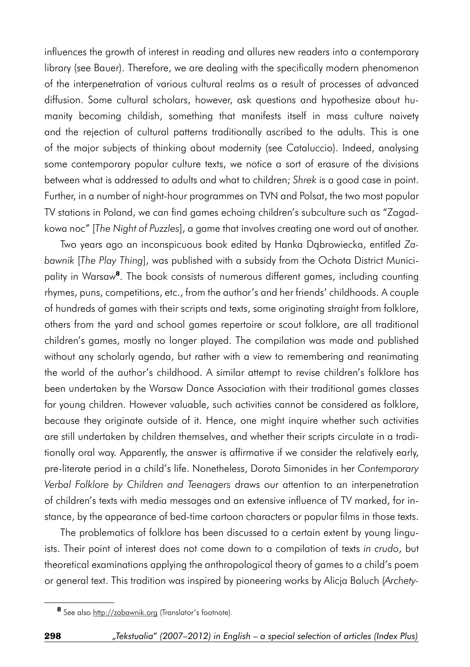influences the growth of interest in reading and allures new readers into a contemporary library (see Bauer). Therefore, we are dealing with the specifically modern phenomenon of the interpenetration of various cultural realms as a result of processes of advanced diffusion. Some cultural scholars, however, ask questions and hypothesize about humanity becoming childish, something that manifests itself in mass culture naivety and the rejection of cultural patterns traditionally ascribed to the adults. This is one of the major subjects of thinking about modernity (see Cataluccio). Indeed, analysing some contemporary popular culture texts, we notice a sort of erasure of the divisions between what is addressed to adults and what to children; *Shrek* is a good case in point. Further, in a number of night-hour programmes on TVN and Polsat, the two most popular TV stations in Poland, we can find games echoing children's subculture such as "Zagadkowa noc" [*The Night of Puzzles*], a game that involves creating one word out of another.

Two years ago an inconspicuous book edited by Hanka Dąbrowiecka, entitled *Zabawnik* [*The Play Thing*], was published with a subsidy from the Ochota District Municipality in Warsaw<sup>8</sup>. The book consists of numerous different games, including counting rhymes, puns, competitions, etc., from the author's and her friends' childhoods. A couple of hundreds of games with their scripts and texts, some originating straight from folklore, others from the yard and school games repertoire or scout folklore, are all traditional children's games, mostly no longer played. The compilation was made and published without any scholarly agenda, but rather with a view to remembering and reanimating the world of the author's childhood. A similar attempt to revise children's folklore has been undertaken by the Warsaw Dance Association with their traditional games classes for young children. However valuable, such activities cannot be considered as folklore, because they originate outside of it. Hence, one might inquire whether such activities are still undertaken by children themselves, and whether their scripts circulate in a traditionally oral way. Apparently, the answer is affirmative if we consider the relatively early, pre-literate period in a child's life. Nonetheless, Dorota Simonides in her *Contemporary Verbal Folklore by Children and Teenagers* draws our attention to an interpenetration of children's texts with media messages and an extensive influence of TV marked, for instance, by the appearance of bed-time cartoon characters or popular films in those texts.

The problematics of folklore has been discussed to a certain extent by young linguists. Their point of interest does not come down to a compilation of texts *in crudo*, but theoretical examinations applying the anthropological theory of games to a child's poem or general text. This tradition was inspired by pioneering works by Alicja Baluch (*Archety-*

<sup>8</sup> See also http://zabawnik.org (Translator's footnote).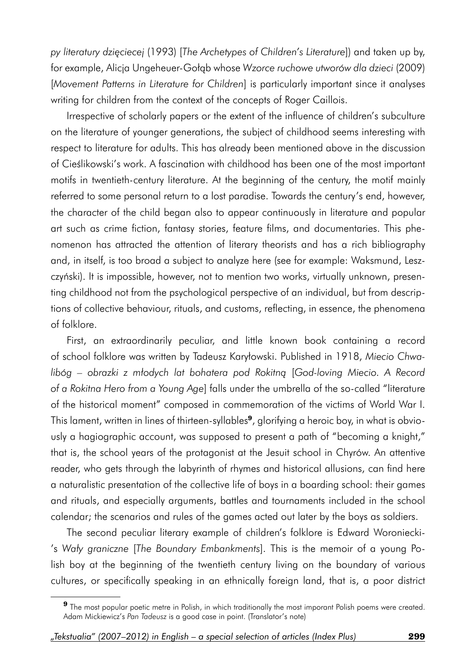*py literatury dzięciecej* (1993) [*The Archetypes of Children's Literature*]) and taken up by, for example, Alicja Ungeheuer-Gołąb whose *Wzorce ruchowe utworów dla dzieci* (2009) [*Movement Patterns in Literature for Children*] is particularly important since it analyses writing for children from the context of the concepts of Roger Caillois.

Irrespective of scholarly papers or the extent of the influence of children's subculture on the literature of younger generations, the subject of childhood seems interesting with respect to literature for adults. This has already been mentioned above in the discussion of Cieślikowski's work. A fascination with childhood has been one of the most important motifs in twentieth-century literature. At the beginning of the century, the motif mainly referred to some personal return to a lost paradise. Towards the century's end, however, the character of the child began also to appear continuously in literature and popular art such as crime fiction, fantasy stories, feature films, and documentaries. This phenomenon has attracted the attention of literary theorists and has a rich bibliography and, in itself, is too broad a subject to analyze here (see for example: Waksmund, Leszczyński). It is impossible, however, not to mention two works, virtually unknown, presenting childhood not from the psychological perspective of an individual, but from descriptions of collective behaviour, rituals, and customs, reflecting, in essence, the phenomena of folklore.

First, an extraordinarily peculiar, and little known book containing a record of school folklore was written by Tadeusz Karyłowski. Published in 1918, *Miecio Chwalibóg – obrazki z młodych lat bohatera pod Rokitną* [*God-loving Miecio. A Record of a Rokitna Hero from a Young Age*] falls under the umbrella of the so-called "literature of the historical moment" composed in commemoration of the victims of World War I. This lament, written in lines of thirteen-syllables<sup>9</sup>, glorifying a heroic boy, in what is obviously a hagiographic account, was supposed to present a path of "becoming a knight," that is, the school years of the protagonist at the Jesuit school in Chyrów. An attentive reader, who gets through the labyrinth of rhymes and historical allusions, can find here a naturalistic presentation of the collective life of boys in a boarding school: their games and rituals, and especially arguments, battles and tournaments included in the school calendar; the scenarios and rules of the games acted out later by the boys as soldiers.

The second peculiar literary example of children's folklore is Edward Woroniecki- 's *Wały graniczne* [*The Boundary Embankments*]. This is the memoir of a young Polish boy at the beginning of the twentieth century living on the boundary of various cultures, or specifically speaking in an ethnically foreign land, that is, a poor district

*"Tekstualia" (2007–2012) in English – a special selection of articles (Index Plus)* 299

<sup>9</sup> The most popular poetic metre in Polish, in which traditionally the most imporant Polish poems were created. Adam Mickiewicz's *Pan Tadeusz* is a good case in point. (Translator's note)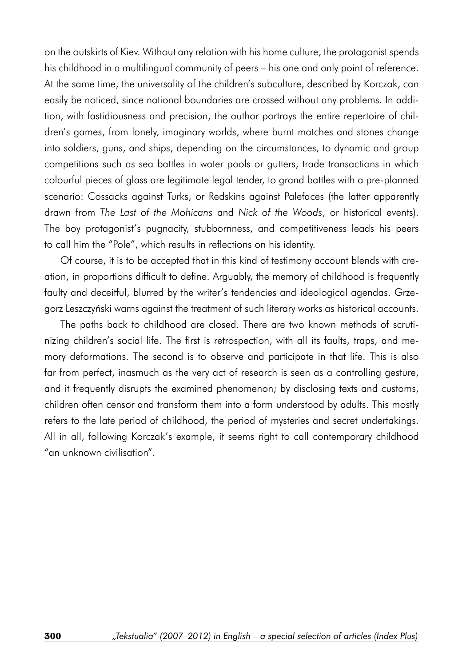on the outskirts of Kiev. Without any relation with his home culture, the protagonist spends his childhood in a multilingual community of peers – his one and only point of reference. At the same time, the universality of the children's subculture, described by Korczak, can easily be noticed, since national boundaries are crossed without any problems. In addition, with fastidiousness and precision, the author portrays the entire repertoire of children's games, from lonely, imaginary worlds, where burnt matches and stones change into soldiers, guns, and ships, depending on the circumstances, to dynamic and group competitions such as sea battles in water pools or gutters, trade transactions in which colourful pieces of glass are legitimate legal tender, to grand battles with a pre-planned scenario: Cossacks against Turks, or Redskins against Palefaces (the latter apparently drawn from *The Last of the Mohicans* and *Nick of the Woods*, or historical events). The boy protagonist's pugnacity, stubbornness, and competitiveness leads his peers to call him the "Pole", which results in reflections on his identity.

Of course, it is to be accepted that in this kind of testimony account blends with creation, in proportions difficult to define. Arguably, the memory of childhood is frequently faulty and deceitful, blurred by the writer's tendencies and ideological agendas. Grzegorz Leszczyński warns against the treatment of such literary works as historical accounts.

The paths back to childhood are closed. There are two known methods of scrutinizing children's social life. The first is retrospection, with all its faults, traps, and memory deformations. The second is to observe and participate in that life. This is also far from perfect, inasmuch as the very act of research is seen as a controlling gesture, and it frequently disrupts the examined phenomenon; by disclosing texts and customs, children often censor and transform them into a form understood by adults. This mostly refers to the late period of childhood, the period of mysteries and secret undertakings. All in all, following Korczak's example, it seems right to call contemporary childhood "an unknown civilisation".